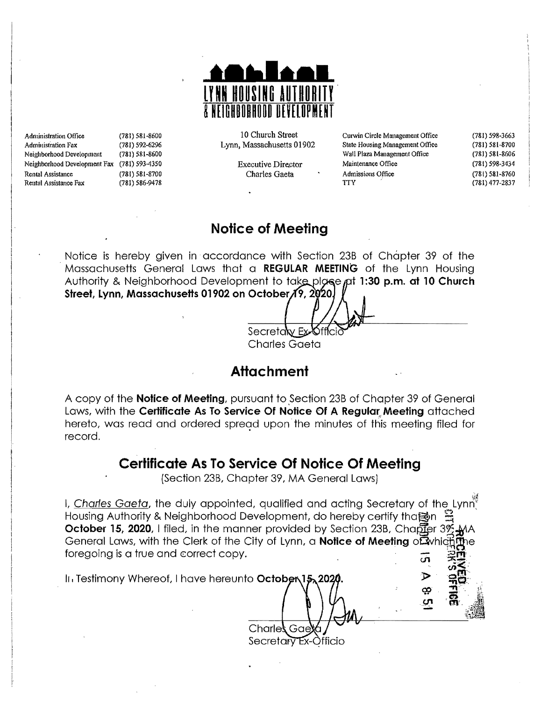

Administration Office (781) 581-8600 **Administration Fax** (781) 592-6296 Neighborhood Development (781) 581-8600 Neighborhood Development Fax (781) 593-4350 **Rental Assistance** (781) 581-8700 Rental Assistance Fax (781) 586-9478

10 Church Street Lynn, Massachusetts 01902

> **Executive Director** Charles Gaeta

Curwin Circle Management Office State Housing Management Office Wall Plaza Management Office Maintenance Office Admissions Office **TTY** 

ഗ

(781) 598-3663 (781) 581-8700  $(781) 581 - 8606$  $(781) 598 - 3434$  $(781) 581 - 8760$  $(781)$  477-2837

### **Notice of Meeting**

Notice is hereby given in accordance with Section 23B of Chapter 39 of the Massachusetts General Laws that a REGULAR MEETING of the Lynn Housing Authority & Neighborhood Development to take plgse pt 1:30 p.m. at 10 Church Street, Lynn, Massachusetts 01902 on October 19, 2020.

Secreta w Ex **Charles Gaeta** 

### **Attachment**

A copy of the **Notice of Meeting**, pursuant to Section 23B of Chapter 39 of General Laws, with the Certificate As To Service Of Notice Of A Regular Meeting attached hereto, was read and ordered spread upon the minutes of this meeting filed for record.

# **Certificate As To Service Of Notice Of Meeting**

(Section 23B, Chapter 39, MA General Laws)

I. Charles Gaeta, the duly appointed, qualified and acting Secretary of the Lynn<sup>9</sup> Housing Authority & Neighborhood Development, do hereby certify thanon **October 15, 2020, I filed, in the manner provided by Section 23B, Chapter 3%** General Laws, with the Clerk of the City of Lynn, a **Notice of Meeting** of which foregoing is a true and correct copy.

In Testimony Whereof, I have hereunto October

Charle Secretary Ex-Officio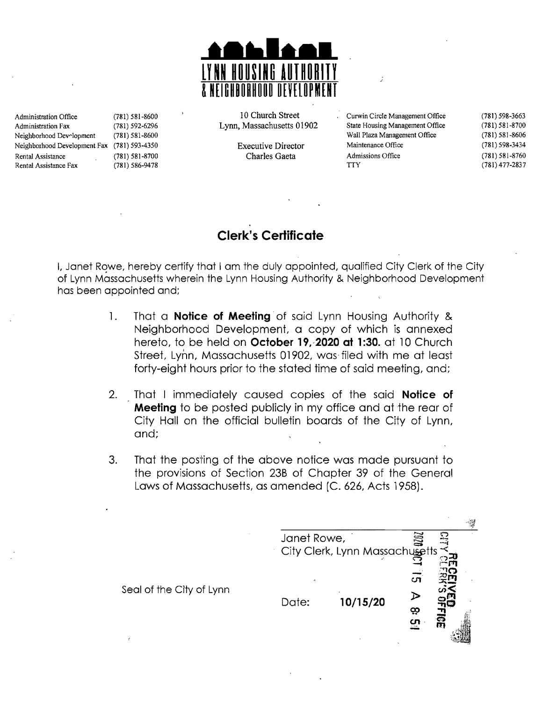

Administration Fax (781) 592-6296 Lynn, Massachusetts 01902 State Housing Management Office (781) 581-8700<br>Neighborhood Dev~lopment (781) 581-8600 State (1902 Wall Plaza Management Office (781) 581-8606 Neighborhood Dev~lopment (781) 581-8600 Wall Plaza Management Office Neighborhood Development Fax (781) 593-4350 Executive Director Maintenance Office (781) 598-3434<br>Rental Assistance (781) 581-8700 Charles Gaeta Admissions Office (781) 581-8760 Rental Assistance Fax (781) 586-9478 (781) 686-9478 (781) 477-2837

Administration Office (781) 581-8600 10 Church Street Curwin Circle Management Office (781) 598-3663

Rental Assistance (781) 581-8700 Charles Gaeta Admissions Office (781) 581-8760

## **Clerk's Certificate**

I, Janet Rowe, hereby certify that I am the duly appointed, qualified City Clerk of the City of Lynn Massachusetts wherein the Lynn Housing Authority & Neighborhood Development has been appointed and;

- 1. That a **Notice of Meeting** of said Lynn Housing Authority & Neighborhood Development, a copy of which is annexed hereto, to be held on **October 19, 2020 at 1:30.** at 10 Church Street, Lynn, Massachusetts 01902, was filed with me at least forty-eight hours prior to the stated time of said meeting, and;
- 2. That I immediately caused copies of the said **Notice of Meeting** to be posted publicly in my office and at the rear of City Hall on the official bulletin boards of the City of Lynn, and;
- 3. That the posting of the above notice was made pursuant to the provisions of Section 23B of Chapter 39 of the General Laws of Massachusetts, as amended [C. 626, Acts 1958).